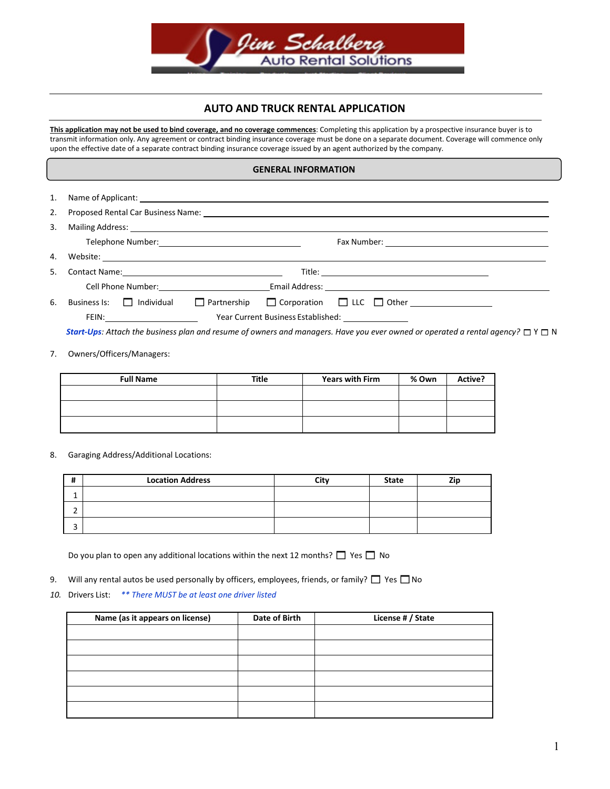

# **AUTO AND TRUCK RENTAL APPLICATION**

**This application may not be used to bind coverage, and no coverage commences**: Completing this application by a prospective insurance buyer is to transmit information only. Any agreement or contract binding insurance coverage must be done on a separate document. Coverage will commence only upon the effective date of a separate contract binding insurance coverage issued by an agent authorized by the company.

#### **GENERAL INFORMATION**

| 1. |                                                        |  |  |  |  |  |
|----|--------------------------------------------------------|--|--|--|--|--|
| 2. |                                                        |  |  |  |  |  |
| 3. |                                                        |  |  |  |  |  |
|    |                                                        |  |  |  |  |  |
|    |                                                        |  |  |  |  |  |
| 5. |                                                        |  |  |  |  |  |
|    |                                                        |  |  |  |  |  |
| 6. | Business Is: $\Box$ Individual<br>$\Box$ Partnership   |  |  |  |  |  |
|    | Year Current Business Established: ___________________ |  |  |  |  |  |

*Start-Ups: Attach the business plan and resume of owners and managers. Have you ever owned or operated a rental agency?* □ Y □ N

#### 7. Owners/Officers/Managers:

| <b>Full Name</b> | Title | <b>Years with Firm</b> | % Own | Active? |
|------------------|-------|------------------------|-------|---------|
|                  |       |                        |       |         |
|                  |       |                        |       |         |
|                  |       |                        |       |         |
|                  |       |                        |       |         |

8. Garaging Address/Additional Locations:

| <b>Location Address</b> | City | State | Zir |
|-------------------------|------|-------|-----|
|                         |      |       |     |
|                         |      |       |     |
|                         |      |       |     |

Do you plan to open any additional locations within the next 12 months?  $\Box$  Yes  $\Box$  No

- 9. Will any rental autos be used personally by officers, employees, friends, or family?  $\Box$  Yes  $\Box$  No
- *10.* Drivers List: *\*\* There MUST be at least one driver listed*

| Name (as it appears on license) | Date of Birth | License # / State |
|---------------------------------|---------------|-------------------|
|                                 |               |                   |
|                                 |               |                   |
|                                 |               |                   |
|                                 |               |                   |
|                                 |               |                   |
|                                 |               |                   |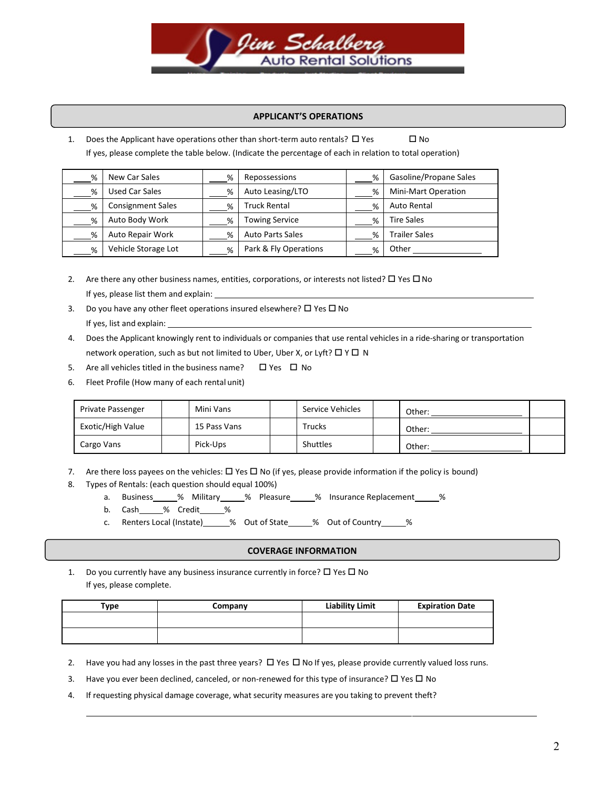

## **APPLICANT'S OPERATIONS**

1. Does the Applicant have operations other than short-term auto rentals?  $\Box$  Yes  $\Box$  No If yes, please complete the table below. (Indicate the percentage of each in relation to total operation)

| % | New Car Sales            | % | Repossessions           | % | Gasoline/Propane Sales |
|---|--------------------------|---|-------------------------|---|------------------------|
| % | Used Car Sales           | % | Auto Leasing/LTO        | % | Mini-Mart Operation    |
| % | <b>Consignment Sales</b> | % | Truck Rental            | % | Auto Rental            |
| % | Auto Body Work           | % | <b>Towing Service</b>   | % | Tire Sales             |
| % | Auto Repair Work         | % | <b>Auto Parts Sales</b> | % | <b>Trailer Sales</b>   |
| % | Vehicle Storage Lot      | % | Park & Fly Operations   | % | Other                  |

- 2. Are there any other business names, entities, corporations, or interests not listed?  $\Box$  Yes  $\Box$  No If yes, please list them and explain:
- 3. Do you have any other fleet operations insured elsewhere?  $\square$  Yes  $\square$  No If yes, list and explain:
- 4. Does the Applicant knowingly rent to individuals or companies that use rental vehicles in a ride-sharing or transportation network operation, such as but not limited to Uber, Uber X, or Lyft?  $\Box$  Y  $\Box$  N
- 5. Are all vehicles titled in the business name?  $\Box$  Yes  $\Box$  No
- 6. Fleet Profile (How many of each rental unit)

| Private Passenger | Mini Vans    | Service Vehicles | Other: |  |
|-------------------|--------------|------------------|--------|--|
| Exotic/High Value | 15 Pass Vans | <b>Trucks</b>    | Other: |  |
| Cargo Vans        | Pick-Ups     | Shuttles         | Other: |  |

- 7. Are there loss payees on the vehicles:  $\Box$  Yes  $\Box$  No (if yes, please provide information if the policy is bound)
- 8. Types of Rentals: (each question should equal 100%)
	- a. Business % Military 6% Pleasure 1% Insurance Replacement 1%
	- b. Cash\_\_\_\_\_% Credit\_\_\_\_\_%
	- c. Renters Local (Instate)\_\_\_\_\_\_% Out of State\_\_\_\_\_% Out of Country\_\_\_\_\_\_%

### **COVERAGE INFORMATION**

1. Do you currently have any business insurance currently in force?  $\Box$  Yes  $\Box$  No If yes, please complete.

| Type | Company | <b>Liability Limit</b> | <b>Expiration Date</b> |
|------|---------|------------------------|------------------------|
|      |         |                        |                        |
|      |         |                        |                        |

- 2. Have you had any losses in the past three years?  $\Box$  Yes  $\Box$  No If yes, please provide currently valued loss runs.
- 3. Have you ever been declined, canceled, or non-renewed for this type of insurance?  $\Box$  Yes  $\Box$  No
- 4. If requesting physical damage coverage, what security measures are you taking to prevent theft?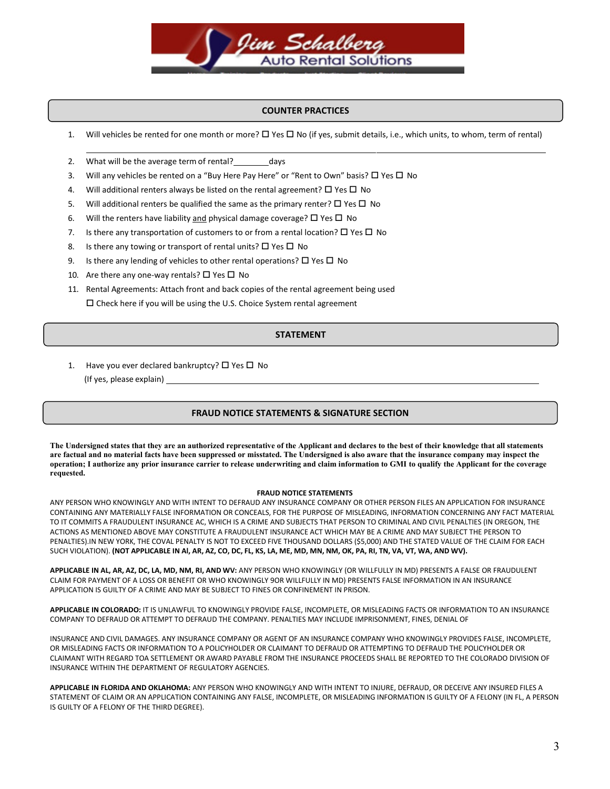

## **COUNTER PRACTICES**

- 1. Will vehicles be rented for one month or more?  $\Box$  Yes  $\Box$  No (if yes, submit details, i.e., which units, to whom, term of rental)
- 2. What will be the average term of rental? days
- 3. Will any vehicles be rented on a "Buy Here Pay Here" or "Rent to Own" basis?  $\Box$  Yes  $\Box$  No
- 4. Will additional renters always be listed on the rental agreement?  $\Box$  Yes  $\Box$  No
- 5. Will additional renters be qualified the same as the primary renter?  $\Box$  Yes  $\Box$  No
- 6. Will the renters have liability and physical damage coverage?  $\Box$  Yes  $\Box$  No
- 7. Is there any transportation of customers to or from a rental location?  $\Box$  Yes  $\Box$  No
- 8. Is there any towing or transport of rental units?  $\Box$  Yes  $\Box$  No
- 9. Is there any lending of vehicles to other rental operations?  $\Box$  Yes  $\Box$  No
- 10. Are there any one-way rentals?  $\Box$  Yes  $\Box$  No
- 11. Rental Agreements: Attach front and back copies of the rental agreement being used  $\square$  Check here if you will be using the U.S. Choice System rental agreement

### **STATEMENT**

1. Have you ever declared bankruptcy?  $\Box$  Yes  $\Box$  No (If yes, please explain)

### **FRAUD NOTICE STATEMENTS & SIGNATURE SECTION**

**The Undersigned states that they are an authorized representative of the Applicant and declares to the best of their knowledge that all statements are factual and no material facts have been suppressed or misstated. The Undersigned is also aware that the insurance company may inspect the operation; I authorize any prior insurance carrier to release underwriting and claim information to GMI to qualify the Applicant for the coverage requested.** 

#### **FRAUD NOTICE STATEMENTS**

ANY PERSON WHO KNOWINGLY AND WITH INTENT TO DEFRAUD ANY INSURANCE COMPANY OR OTHER PERSON FILES AN APPLICATION FOR INSURANCE CONTAINING ANY MATERIALLY FALSE INFORMATION OR CONCEALS, FOR THE PURPOSE OF MISLEADING, INFORMATION CONCERNING ANY FACT MATERIAL TO IT COMMITS A FRAUDULENT INSURANCE AC, WHICH IS A CRIME AND SUBJECTS THAT PERSON TO CRIMINAL AND CIVIL PENALTIES (IN OREGON, THE ACTIONS AS MENTIONED ABOVE MAY CONSTITUTE A FRAUDULENT INSURANCE ACT WHICH MAY BE A CRIME AND MAY SUBJECT THE PERSON TO PENALTIES).IN NEW YORK, THE COVAL PENALTY IS NOT TO EXCEED FIVE THOUSAND DOLLARS (\$5,000) AND THE STATED VALUE OF THE CLAIM FOR EACH SUCH VIOLATION). **(NOT APPLICABLE IN Al, AR, AZ, CO, DC, FL, KS, LA, ME, MD, MN, NM, OK, PA, RI, TN, VA, VT, WA, AND WV).** 

**APPLICABLE IN AL, AR, AZ, DC, LA, MD, NM, RI, AND WV:** ANY PERSON WHO KNOWINGLY (OR WILLFULLY IN MD) PRESENTS A FALSE OR FRAUDULENT CLAIM FOR PAYMENT OF A LOSS OR BENEFIT OR WHO KNOWINGLY 9OR WILLFULLY IN MD) PRESENTS FALSE INFORMATION IN AN INSURANCE APPLICATION IS GUILTY OF A CRIME AND MAY BE SUBJECT TO FINES OR CONFINEMENT IN PRISON.

**APPLICABLE IN COLORADO:** IT IS UNLAWFUL TO KNOWINGLY PROVIDE FALSE, INCOMPLETE, OR MISLEADING FACTS OR INFORMATION TO AN INSURANCE COMPANY TO DEFRAUD OR ATTEMPT TO DEFRAUD THE COMPANY. PENALTIES MAY INCLUDE IMPRISONMENT, FINES, DENIAL OF

INSURANCE AND CIVIL DAMAGES. ANY INSURANCE COMPANY OR AGENT OF AN INSURANCE COMPANY WHO KNOWINGLY PROVIDES FALSE, INCOMPLETE, OR MISLEADING FACTS OR INFORMATION TO A POLICYHOLDER OR CLAIMANT TO DEFRAUD OR ATTEMPTING TO DEFRAUD THE POLICYHOLDER OR CLAIMANT WITH REGARD TOA SETTLEMENT OR AWARD PAYABLE FROM THE INSURANCE PROCEEDS SHALL BE REPORTED TO THE COLORADO DIVISION OF INSURANCE WITHIN THE DEPARTMENT OF REGULATORY AGENCIES.

**APPLICABLE IN FLORIDA AND OKLAHOMA:** ANY PERSON WHO KNOWINGLY AND WITH INTENT TO INJURE, DEFRAUD, OR DECEIVE ANY INSURED FILES A STATEMENT OF CLAIM OR AN APPLICATION CONTAINING ANY FALSE, INCOMPLETE, OR MISLEADING INFORMATION IS GUILTY OF A FELONY (IN FL, A PERSON IS GUILTY OF A FELONY OF THE THIRD DEGREE).